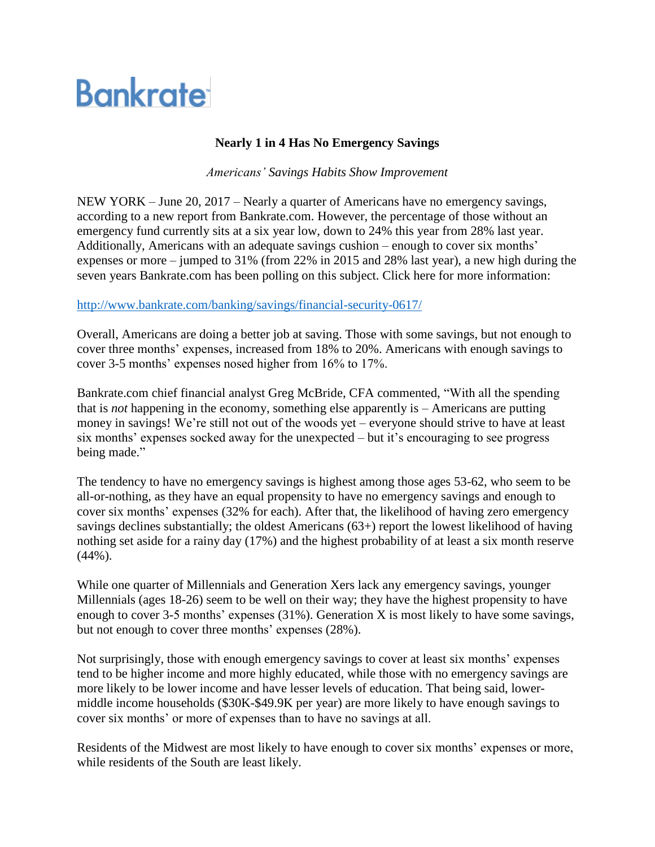## **Bankrate**

## **Nearly 1 in 4 Has No Emergency Savings**

*Americans' Savings Habits Show Improvement*

NEW YORK – June 20, 2017 – Nearly a quarter of Americans have no emergency savings, according to a new report from Bankrate.com. However, the percentage of those without an emergency fund currently sits at a six year low, down to 24% this year from 28% last year. Additionally, Americans with an adequate savings cushion – enough to cover six months' expenses or more – jumped to 31% (from 22% in 2015 and 28% last year), a new high during the seven years Bankrate.com has been polling on this subject. Click here for more information:

<http://www.bankrate.com/banking/savings/financial-security-0617/>

Overall, Americans are doing a better job at saving. Those with some savings, but not enough to cover three months' expenses, increased from 18% to 20%. Americans with enough savings to cover 3-5 months' expenses nosed higher from 16% to 17%.

Bankrate.com chief financial analyst Greg McBride, CFA commented, "With all the spending that is *not* happening in the economy, something else apparently is – Americans are putting money in savings! We're still not out of the woods yet – everyone should strive to have at least six months' expenses socked away for the unexpected – but it's encouraging to see progress being made."

The tendency to have no emergency savings is highest among those ages 53-62, who seem to be all-or-nothing, as they have an equal propensity to have no emergency savings and enough to cover six months' expenses (32% for each). After that, the likelihood of having zero emergency savings declines substantially; the oldest Americans (63+) report the lowest likelihood of having nothing set aside for a rainy day (17%) and the highest probability of at least a six month reserve (44%).

While one quarter of Millennials and Generation Xers lack any emergency savings, younger Millennials (ages 18-26) seem to be well on their way; they have the highest propensity to have enough to cover 3-5 months' expenses (31%). Generation X is most likely to have some savings, but not enough to cover three months' expenses (28%).

Not surprisingly, those with enough emergency savings to cover at least six months' expenses tend to be higher income and more highly educated, while those with no emergency savings are more likely to be lower income and have lesser levels of education. That being said, lowermiddle income households (\$30K-\$49.9K per year) are more likely to have enough savings to cover six months' or more of expenses than to have no savings at all.

Residents of the Midwest are most likely to have enough to cover six months' expenses or more, while residents of the South are least likely.